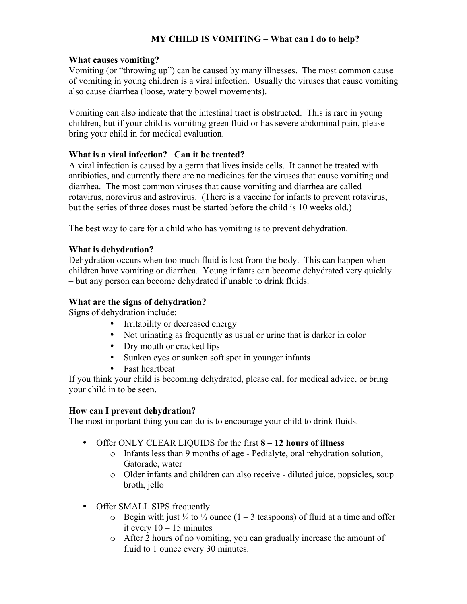## **MY CHILD IS VOMITING – What can I do to help?**

### **What causes vomiting?**

Vomiting (or "throwing up") can be caused by many illnesses. The most common cause of vomiting in young children is a viral infection. Usually the viruses that cause vomiting also cause diarrhea (loose, watery bowel movements).

Vomiting can also indicate that the intestinal tract is obstructed. This is rare in young children, but if your child is vomiting green fluid or has severe abdominal pain, please bring your child in for medical evaluation.

## **What is a viral infection? Can it be treated?**

A viral infection is caused by a germ that lives inside cells. It cannot be treated with antibiotics, and currently there are no medicines for the viruses that cause vomiting and diarrhea. The most common viruses that cause vomiting and diarrhea are called rotavirus, norovirus and astrovirus. (There is a vaccine for infants to prevent rotavirus, but the series of three doses must be started before the child is 10 weeks old.)

The best way to care for a child who has vomiting is to prevent dehydration.

## **What is dehydration?**

Dehydration occurs when too much fluid is lost from the body. This can happen when children have vomiting or diarrhea. Young infants can become dehydrated very quickly – but any person can become dehydrated if unable to drink fluids.

### **What are the signs of dehydration?**

Signs of dehydration include:

- Irritability or decreased energy
- Not urinating as frequently as usual or urine that is darker in color
- Dry mouth or cracked lips
- Sunken eyes or sunken soft spot in younger infants
- Fast heartbeat

If you think your child is becoming dehydrated, please call for medical advice, or bring your child in to be seen.

#### **How can I prevent dehydration?**

The most important thing you can do is to encourage your child to drink fluids.

- Offer ONLY CLEAR LIQUIDS for the first **8 – 12 hours of illness**
	- o Infants less than 9 months of age Pedialyte, oral rehydration solution, Gatorade, water
	- o Older infants and children can also receive diluted juice, popsicles, soup broth, jello
- Offer SMALL SIPS frequently
	- $\circ$  Begin with just  $\frac{1}{4}$  to  $\frac{1}{2}$  ounce (1 3 teaspoons) of fluid at a time and offer it every  $10 - 15$  minutes
	- o After 2 hours of no vomiting, you can gradually increase the amount of fluid to 1 ounce every 30 minutes.